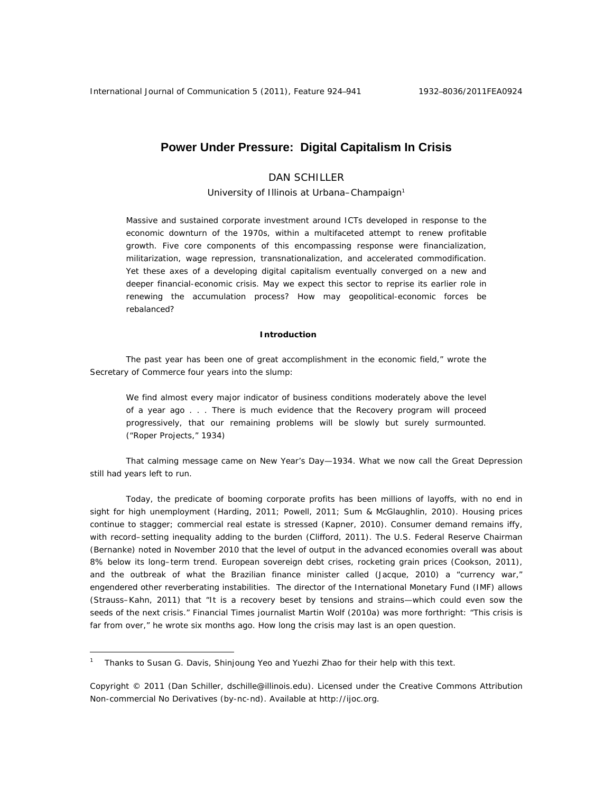# **Power Under Pressure: Digital Capitalism In Crisis**

# DAN SCHILLER

University of Illinois at Urbana-Champaign<sup>1</sup>

Massive and sustained corporate investment around ICTs developed in response to the economic downturn of the 1970s, within a multifaceted attempt to renew profitable growth. Five core components of this encompassing response were financialization, militarization, wage repression, transnationalization, and accelerated commodification. Yet these axes of a developing digital capitalism eventually converged on a new and deeper financial-economic crisis. May we expect this sector to reprise its earlier role in renewing the accumulation process? How may geopolitical-economic forces be rebalanced?

# **Introduction**

The past year has been one of great accomplishment in the economic field," wrote the Secretary of Commerce four years into the slump:

We find almost every major indicator of business conditions moderately above the level of a year ago . . . There is much evidence that the Recovery program will proceed progressively, that our remaining problems will be slowly but surely surmounted. ("Roper Projects," 1934)

That calming message came on New Year's Day—1934. What we now call the Great Depression still had years left to run.

Today, the predicate of booming corporate profits has been millions of layoffs, with no end in sight for high unemployment (Harding, 2011; Powell, 2011; Sum & McGlaughlin, 2010). Housing prices continue to stagger; commercial real estate is stressed (Kapner, 2010). Consumer demand remains iffy, with record–setting inequality adding to the burden (Clifford, 2011). The U.S. Federal Reserve Chairman (Bernanke) noted in November 2010 that the level of output in the advanced economies overall was about 8% below its long–term trend. European sovereign debt crises, rocketing grain prices (Cookson, 2011), and the outbreak of what the Brazilian finance minister called (Jacque, 2010) a "currency war," engendered other reverberating instabilities. The director of the International Monetary Fund (IMF) allows (Strauss–Kahn, 2011) that "It is a recovery beset by tensions and strains—which could even sow the seeds of the next crisis." *Financial Times* journalist Martin Wolf (2010a) was more forthright: "This crisis is far from over," he wrote six months ago. How long the crisis may last is an open question.

 $\overline{a}$ 

<sup>1</sup> Thanks to Susan G. Davis, Shinjoung Yeo and Yuezhi Zhao for their help with this text.

Copyright © 2011 (Dan Schiller, dschille@illinois.edu). Licensed under the Creative Commons Attribution Non-commercial No Derivatives (by-nc-nd). Available at http://ijoc.org.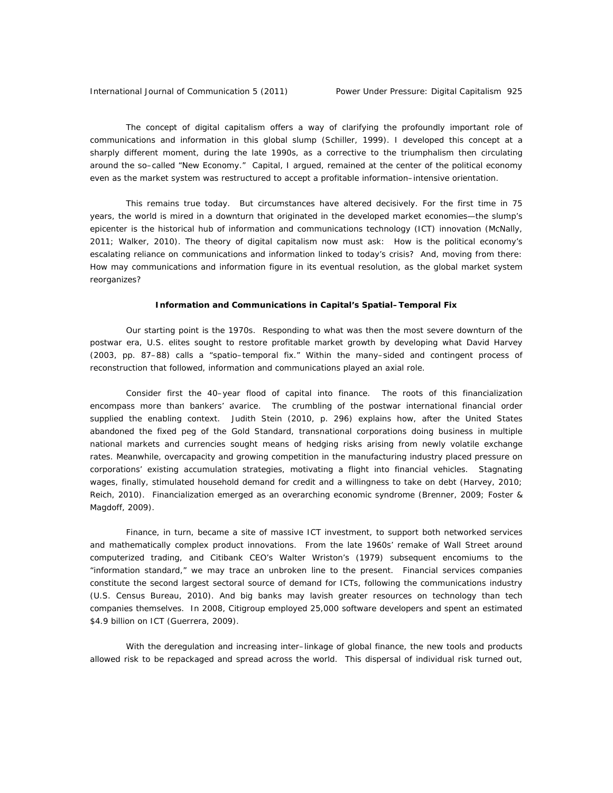The concept of digital capitalism offers a way of clarifying the profoundly important role of communications and information in this global slump (Schiller, 1999). I developed this concept at a sharply different moment, during the late 1990s, as a corrective to the triumphalism then circulating around the so–called "New Economy." Capital, I argued, remained at the center of the political economy even as the market system was restructured to accept a profitable information–intensive orientation.

This remains true today. But circumstances have altered decisively. For the first time in 75 years, the world is mired in a downturn that originated in the developed market economies—the slump's epicenter is the historical hub of information and communications technology (ICT) innovation (McNally, 2011; Walker, 2010). The theory of digital capitalism now must ask: How is the political economy's escalating reliance on communications and information linked to today's crisis? And, moving from there: How may communications and information figure in its eventual resolution, as the global market system reorganizes?

## **Information and Communications in Capital's Spatial–Temporal Fix**

Our starting point is the 1970s. Responding to what was then the most severe downturn of the postwar era, U.S. elites sought to restore profitable market growth by developing what David Harvey (2003, pp. 87–88) calls a "spatio–temporal fix." Within the many–sided and contingent process of reconstruction that followed, information and communications played an axial role.

Consider first the 40–year flood of capital into finance. The roots of this financialization encompass more than bankers' avarice. The crumbling of the postwar international financial order supplied the enabling context. Judith Stein (2010, p. 296) explains how, after the United States abandoned the fixed peg of the Gold Standard, transnational corporations doing business in multiple national markets and currencies sought means of hedging risks arising from newly volatile exchange rates. Meanwhile, overcapacity and growing competition in the manufacturing industry placed pressure on corporations' existing accumulation strategies, motivating a flight into financial vehicles. Stagnating wages, finally, stimulated household demand for credit and a willingness to take on debt (Harvey, 2010; Reich, 2010). Financialization emerged as an overarching economic syndrome (Brenner, 2009; Foster & Magdoff, 2009).

Finance, in turn, became a site of massive ICT investment, to support both networked services and mathematically complex product innovations. From the late 1960s' remake of *Wall Street* around computerized trading, and Citibank CEO's Walter Wriston's (1979) subsequent encomiums to the "information standard," we may trace an unbroken line to the present. Financial services companies constitute the second largest sectoral source of demand for ICTs, following the communications industry (U.S. Census Bureau, 2010). And big banks may lavish greater resources on technology than tech companies themselves. In 2008, Citigroup employed 25,000 software developers and spent an estimated \$4.9 billion on ICT (Guerrera, 2009).

With the deregulation and increasing inter–linkage of global finance, the new tools and products allowed risk to be repackaged and spread across the world. This dispersal of individual risk turned out,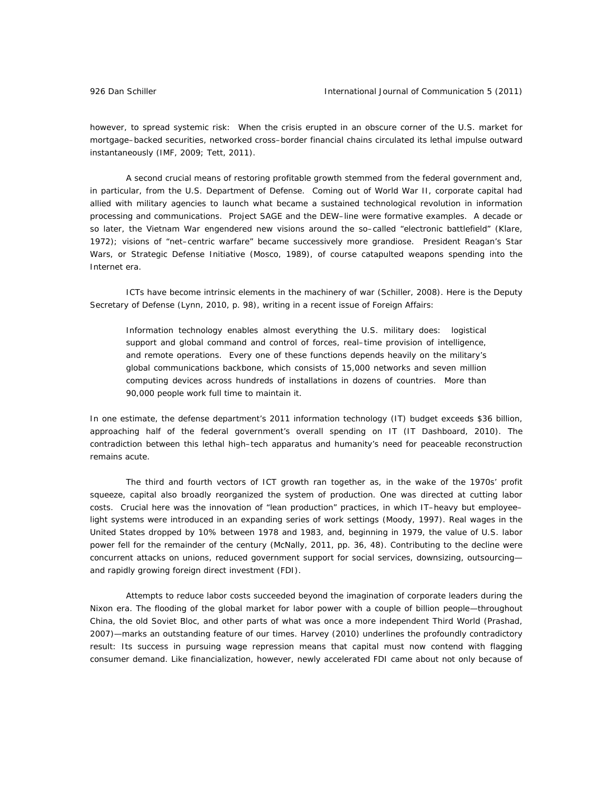however, to spread systemic risk: When the crisis erupted in an obscure corner of the U.S. market for mortgage–backed securities, networked cross–border financial chains circulated its lethal impulse outward instantaneously (IMF, 2009; Tett, 2011).

A second crucial means of restoring profitable growth stemmed from the federal government and, in particular, from the U.S. Department of Defense. Coming out of World War II, corporate capital had allied with military agencies to launch what became a sustained technological revolution in information processing and communications. Project SAGE and the DEW–line were formative examples. A decade or so later, the Vietnam War engendered new visions around the so-called "electronic battlefield" (Klare, 1972); visions of "net–centric warfare" became successively more grandiose. President Reagan's Star Wars, or Strategic Defense Initiative (Mosco, 1989), of course catapulted weapons spending into the Internet era.

ICTs have become intrinsic elements in the machinery of war (Schiller, 2008). Here is the Deputy Secretary of Defense (Lynn, 2010, p. 98), writing in a recent issue of *Foreign Affairs*:

Information technology enables almost everything the U.S. military does: logistical support and global command and control of forces, real–time provision of intelligence, and remote operations. Every one of these functions depends heavily on the military's global communications backbone, which consists of 15,000 networks and seven million computing devices across hundreds of installations in dozens of countries. More than 90,000 people work full time to maintain it.

In one estimate, the defense department's 2011 information technology (IT) budget exceeds \$36 billion, approaching half of the federal government's overall spending on IT (IT Dashboard, 2010). The contradiction between this lethal high–tech apparatus and humanity's need for peaceable reconstruction remains acute.

The third and fourth vectors of ICT growth ran together as, in the wake of the 1970s' profit squeeze, capital also broadly reorganized the system of production. One was directed at cutting labor costs. Crucial here was the innovation of "lean production" practices, in which IT–heavy but employee– light systems were introduced in an expanding series of work settings (Moody, 1997). Real wages in the United States dropped by 10% between 1978 and 1983, and, beginning in 1979, the value of U.S. labor power fell for the remainder of the century (McNally, 2011, pp. 36, 48). Contributing to the decline were concurrent attacks on unions, reduced government support for social services, downsizing, outsourcing and rapidly growing foreign direct investment (FDI).

Attempts to reduce labor costs succeeded beyond the imagination of corporate leaders during the Nixon era. The flooding of the global market for labor power with a couple of billion people—throughout China, the old Soviet Bloc, and other parts of what was once a more independent Third World (Prashad, 2007)—marks an outstanding feature of our times. Harvey (2010) underlines the profoundly contradictory result: Its success in pursuing wage repression means that capital must now contend with flagging consumer demand. Like financialization, however, newly accelerated FDI came about not only because of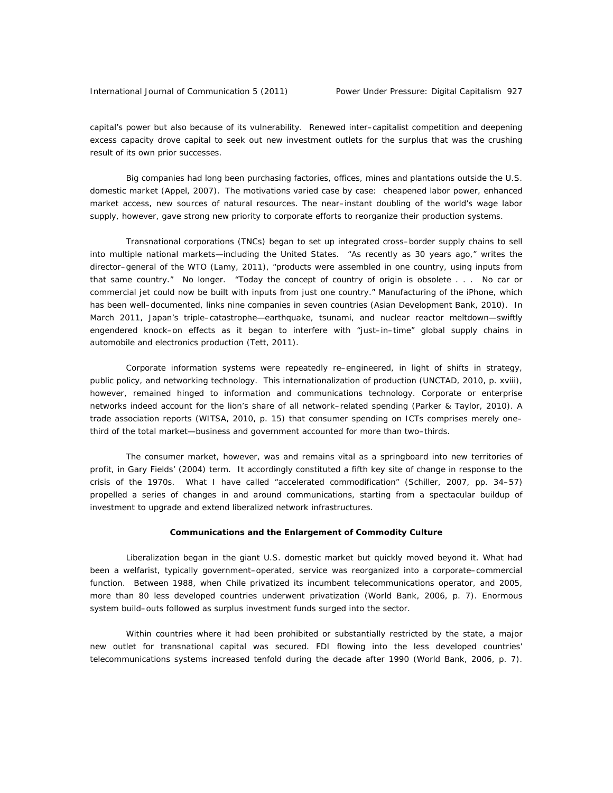capital's power but also because of its vulnerability. Renewed inter–capitalist competition and deepening excess capacity *drove* capital to seek out new investment outlets for the surplus that was the crushing result of its own prior successes.

Big companies had long been purchasing factories, offices, mines and plantations outside the U.S. domestic market (Appel, 2007). The motivations varied case by case: cheapened labor power, enhanced market access, new sources of natural resources. The near–instant doubling of the world's wage labor supply, however, gave strong new priority to corporate efforts to reorganize their production systems.

Transnational corporations (TNCs) began to set up integrated cross–border supply chains to sell into multiple national markets—including the United States. "As recently as 30 years ago," writes the director–general of the WTO (Lamy, 2011), "products were assembled in one country, using inputs from that same country." No longer. "Today the concept of country of origin is obsolete . . . No car or commercial jet could now be built with inputs from just one country." Manufacturing of the iPhone, which has been well–documented, links nine companies in seven countries (Asian Development Bank, 2010). In March 2011, Japan's triple–catastrophe—earthquake, tsunami, and nuclear reactor meltdown—swiftly engendered knock–on effects as it began to interfere with "just–in–time" global supply chains in automobile and electronics production (Tett, 2011).

Corporate information systems were repeatedly re–engineered, in light of shifts in strategy, public policy, and networking technology. This internationalization of production (UNCTAD, 2010, p. xviii), however, remained hinged to information and communications technology. Corporate or enterprise networks indeed account for the lion's share of all network–related spending (Parker & Taylor, 2010). A trade association reports (WITSA, 2010, p. 15) that consumer spending on ICTs comprises merely one– third of the total market—business and government accounted for more than two–thirds.

The consumer market, however, was and remains vital as a springboard into new territories of profit, in Gary Fields' (2004) term. It accordingly constituted a fifth key site of change in response to the crisis of the 1970s. What I have called "accelerated commodification" (Schiller, 2007, pp. 34–57) propelled a series of changes in and around communications, starting from a spectacular buildup of investment to upgrade and extend liberalized network infrastructures.

### **Communications and the Enlargement of Commodity Culture**

Liberalization began in the giant U.S. domestic market but quickly moved beyond it. What had been a welfarist, typically government–operated, service was reorganized into a corporate–commercial function. Between 1988, when Chile privatized its incumbent telecommunications operator, and 2005, more than 80 less developed countries underwent privatization (World Bank, 2006, p. 7). Enormous system build–outs followed as surplus investment funds surged into the sector.

Within countries where it had been prohibited or substantially restricted by the state, a major new outlet for transnational capital was secured. FDI flowing into the less developed countries' telecommunications systems increased tenfold during the decade after 1990 (World Bank, 2006, p. 7).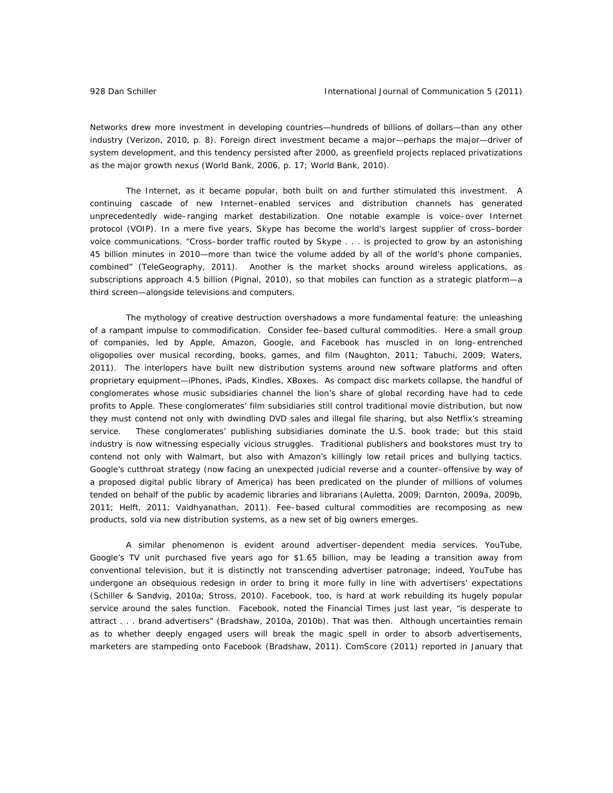Networks drew more investment in developing countries—hundreds of billions of dollars—than any other industry (Verizon, 2010, p. 8). Foreign direct investment became a major—perhaps the major—driver of system development, and this tendency persisted after 2000, as greenfield projects replaced privatizations as the major growth nexus (World Bank, 2006, p. 17; World Bank, 2010).

The Internet, as it became popular, both built on and further stimulated this investment. A continuing cascade of new Internet–enabled services and distribution channels has generated unprecedentedly wide–ranging market destabilization. One notable example is voice–over Internet protocol (VOIP). In a mere five years, Skype has become the world's largest supplier of cross–border voice communications. "Cross–border traffic routed by Skype . . . is projected to grow by an astonishing 45 billion minutes in 2010—more than twice the volume added by all of the world's phone companies, combined" (TeleGeography, 2011). Another is the market shocks around wireless applications, as subscriptions approach 4.5 billion (Pignal, 2010), so that mobiles can function as a strategic platform—a third screen—alongside televisions and computers.

The mythology of creative destruction overshadows a more fundamental feature: the unleashing of a rampant impulse to commodification. Consider fee–based cultural commodities. Here a small group of companies, led by Apple, Amazon, Google, and Facebook has muscled in on long–entrenched oligopolies over musical recording, books, games, and film (Naughton, 2011; Tabuchi, 2009; Waters, 2011). The interlopers have built new distribution systems around new software platforms and often proprietary equipment—iPhones, iPads, Kindles, XBoxes. As compact disc markets collapse, the handful of conglomerates whose music subsidiaries channel the lion's share of global recording have had to cede profits to Apple. These conglomerates' film subsidiaries still control traditional movie distribution, but now they must contend not only with dwindling DVD sales and illegal file sharing, but also Netflix's streaming service. These conglomerates' publishing subsidiaries dominate the U.S. book trade; but this staid industry is now witnessing especially vicious struggles. Traditional publishers and bookstores must try to contend not only with Walmart, but also with Amazon's killingly low retail prices and bullying tactics. Google's cutthroat strategy (now facing an unexpected judicial reverse and a counter–offensive by way of a proposed digital public library of America) has been predicated on the plunder of millions of volumes tended on behalf of the public by academic libraries and librarians (Auletta, 2009; Darnton, 2009a, 2009b, 2011; Helft, 2011; Vaidhyanathan, 2011). Fee–based cultural commodities are recomposing as new products, sold via new distribution systems, as a new set of big owners emerges.

A similar phenomenon is evident around advertiser–dependent media services. YouTube, Google's TV unit purchased five years ago for \$1.65 billion, may be leading a transition away from conventional television, but it is distinctly not transcending advertiser patronage; indeed, YouTube has undergone an obsequious redesign in order to bring it more fully in line with advertisers' expectations (Schiller & Sandvig, 2010a; Stross, 2010). Facebook, too, is hard at work rebuilding its hugely popular service around the sales function. Facebook, noted the *Financial Times* just last year, "is desperate to attract . . . brand advertisers" (Bradshaw, 2010a, 2010b). That was then. Although uncertainties remain as to whether deeply engaged users will break the magic spell in order to absorb advertisements, marketers are stampeding onto Facebook (Bradshaw, 2011). ComScore (2011) reported in January that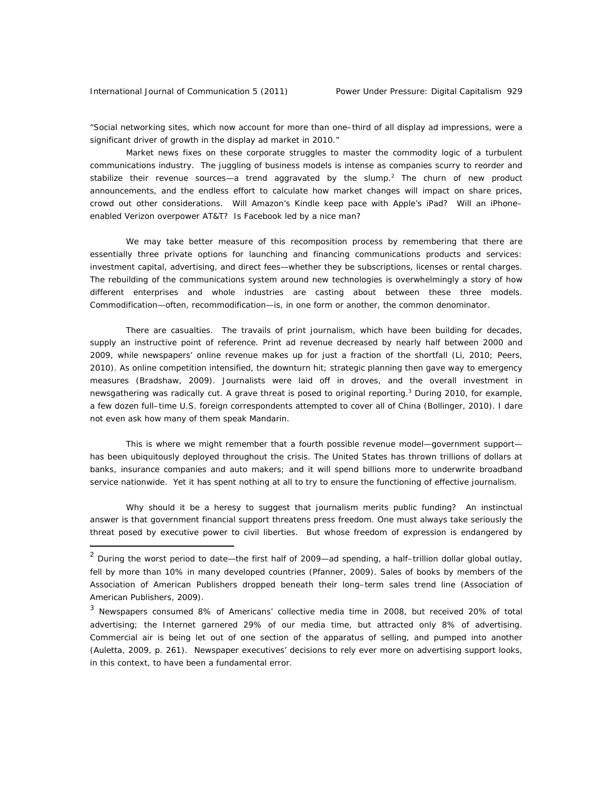"Social networking sites, which now account for more than one–third of all display ad impressions, were a significant driver of growth in the display ad market in 2010."

Market news fixes on these corporate struggles to master the commodity logic of a turbulent communications industry. The juggling of business models is intense as companies scurry to reorder and stabilize their revenue sources—a trend aggravated by the slump.<sup>2</sup> The churn of new product announcements, and the endless effort to calculate how market changes will impact on share prices, crowd out other considerations. Will Amazon's Kindle keep pace with Apple's iPad? Will an iPhone– enabled Verizon overpower AT&T? Is Facebook led by a nice man?

We may take better measure of this recomposition process by remembering that there are essentially three private options for launching and financing communications products and services: investment capital, advertising, and direct fees—whether they be subscriptions, licenses or rental charges. The rebuilding of the communications system around new technologies is overwhelmingly a story of how different enterprises and whole industries are casting about between these three models. Commodification—often, recommodification—is, in one form or another, the common denominator.

There are casualties. The travails of print journalism, which have been building for decades, supply an instructive point of reference. Print ad revenue decreased by nearly half between 2000 and 2009, while newspapers' online revenue makes up for just a fraction of the shortfall (Li, 2010; Peers, 2010). As online competition intensified, the downturn hit; strategic planning then gave way to emergency measures (Bradshaw, 2009). Journalists were laid off in droves, and the overall investment in newsgathering was radically cut. A grave threat is posed to original reporting.<sup>3</sup> During 2010, for example, a few dozen full–time U.S. foreign correspondents attempted to cover all of China (Bollinger, 2010). I dare not even ask how many of them speak Mandarin.

This is where we might remember that a fourth possible revenue model—government support has been ubiquitously deployed throughout the crisis. The United States has thrown trillions of dollars at banks, insurance companies and auto makers; and it will spend billions more to underwrite broadband service nationwide. Yet it has spent nothing at all to try to ensure the functioning of effective journalism.

Why should it be a heresy to suggest that journalism merits public funding? An instinctual answer is that government financial support threatens press freedom. One must always take seriously the threat posed by executive power to civil liberties. But whose freedom of expression is endangered by

<sup>&</sup>lt;sup>2</sup> During the worst period to date—the first half of 2009—ad spending, a half–trillion dollar global outlay, fell by more than 10% in many developed countries (Pfanner, 2009). Sales of books by members of the Association of American Publishers dropped beneath their long–term sales trend line (Association of American Publishers, 2009).

<sup>&</sup>lt;sup>3</sup> Newspapers consumed 8% of Americans' collective media time in 2008, but received 20% of total advertising; the Internet garnered 29% of our media time, but attracted only 8% of advertising. Commercial air is being let out of one section of the apparatus of selling, and pumped into another (Auletta, 2009, p. 261). Newspaper executives' decisions to rely ever more on advertising support looks, in this context, to have been a fundamental error.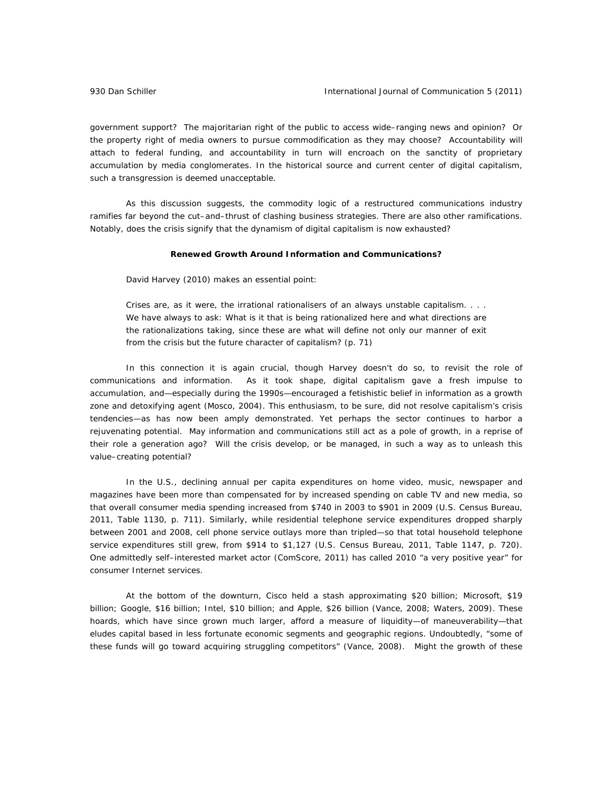government support? The majoritarian right of the public to access wide–ranging news and opinion? Or the property right of media owners to pursue commodification as they may choose? Accountability will attach to federal funding, and accountability in turn will encroach on the sanctity of proprietary accumulation by media conglomerates. In the historical source and current center of digital capitalism, such a transgression is deemed unacceptable.

As this discussion suggests, the commodity logic of a restructured communications industry ramifies far beyond the cut–and–thrust of clashing business strategies. There are also other ramifications. Notably, does the crisis signify that the dynamism of digital capitalism is now exhausted?

## **Renewed Growth Around Information and Communications?**

David Harvey (2010) makes an essential point:

Crises are, as it were, the irrational rationalisers of an always unstable capitalism. . . . We have always to ask: What is it that is being rationalized here and what directions are the rationalizations taking, since these are what will define not only our manner of exit from the crisis but the future character of capitalism? (p. 71)

In this connection it is again crucial, though Harvey doesn't do so, to revisit the role of communications and information. As it took shape, digital capitalism gave a fresh impulse to accumulation, and—especially during the 1990s—encouraged a fetishistic belief in information as a growth zone and detoxifying agent (Mosco, 2004). This enthusiasm, to be sure, did not resolve capitalism's crisis tendencies—as has now been amply demonstrated. Yet perhaps the sector continues to harbor a rejuvenating potential. May information and communications still act as a pole of growth, in a reprise of their role a generation ago? Will the crisis develop, or be managed, in such a way as to unleash this value–creating potential?

In the U.S., declining annual per capita expenditures on home video, music, newspaper and magazines have been more than compensated for by increased spending on cable TV and new media, so that overall consumer media spending increased from \$740 in 2003 to \$901 in 2009 (U.S. Census Bureau, 2011, Table 1130, p. 711). Similarly, while residential telephone service expenditures dropped sharply between 2001 and 2008, cell phone service outlays more than tripled—so that total household telephone service expenditures still grew, from \$914 to \$1,127 (U.S. Census Bureau, 2011, Table 1147, p. 720). One admittedly self–interested market actor (ComScore, 2011) has called 2010 "a very positive year" for consumer Internet services.

At the bottom of the downturn, Cisco held a stash approximating \$20 billion; Microsoft, \$19 billion; Google, \$16 billion; Intel, \$10 billion; and Apple, \$26 billion (Vance, 2008; Waters, 2009). These hoards, which have since grown much larger, afford a measure of liquidity—of maneuverability—that eludes capital based in less fortunate economic segments and geographic regions. Undoubtedly, "some of these funds will go toward acquiring struggling competitors" (Vance, 2008). Might the growth of these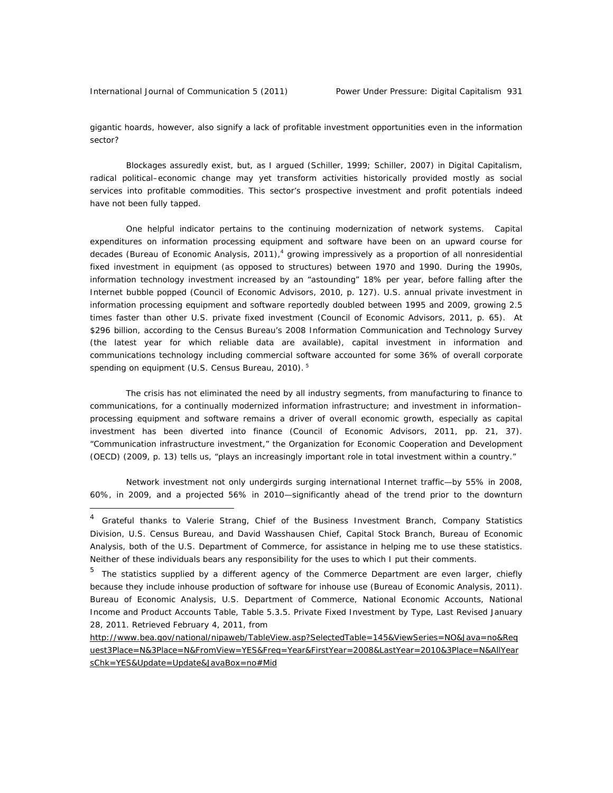gigantic hoards, however, also signify a lack of profitable investment opportunities even in the information sector?

Blockages assuredly exist, but, as I argued (Schiller, 1999; Schiller, 2007) in *Digital Capitalism*, radical political–economic change may yet transform activities historically provided mostly as social services into profitable commodities. This sector's prospective investment and profit potentials indeed have not been fully tapped.

One helpful indicator pertains to the continuing modernization of network systems. Capital expenditures on information processing equipment and software have been on an upward course for decades (Bureau of Economic Analysis, 2011),<sup>4</sup> growing impressively as a proportion of all nonresidential fixed investment in equipment (as opposed to structures) between 1970 and 1990. During the 1990s, information technology investment increased by an "astounding" 18% per year, before falling after the Internet bubble popped (Council of Economic Advisors, 2010, p. 127). U.S. annual private investment in information processing equipment and software reportedly doubled between 1995 and 2009, growing 2.5 times faster than other U.S. private fixed investment (Council of Economic Advisors, 2011, p. 65). At \$296 billion, according to the Census Bureau's 2008 Information Communication and Technology Survey (the latest year for which reliable data are available), capital investment in information and communications technology including commercial software accounted for some 36% of overall corporate spending on equipment (U.S. Census Bureau, 2010).<sup>5</sup>

The crisis has not eliminated the need by all industry segments, from manufacturing to finance to communications, for a continually modernized information infrastructure; and investment in information– processing equipment and software remains a driver of overall economic growth, especially as capital investment has been diverted into finance (Council of Economic Advisors, 2011, pp. 21, 37). "Communication infrastructure investment," the Organization for Economic Cooperation and Development (OECD) (2009, p. 13) tells us, "plays an increasingly important role in total investment within a country."

Network investment not only undergirds surging international Internet traffic—by 55% in 2008, 60%, in 2009, and a projected 56% in 2010—significantly ahead of the trend prior to the downturn

<sup>&</sup>lt;sup>4</sup> Grateful thanks to Valerie Strang, Chief of the Business Investment Branch, Company Statistics Division, U.S. Census Bureau, and David Wasshausen Chief, Capital Stock Branch, Bureau of Economic Analysis, both of the U.S. Department of Commerce, for assistance in helping me to use these statistics. Neither of these individuals bears any responsibility for the uses to which I put their comments.

<sup>&</sup>lt;sup>5</sup> The statistics supplied by a different agency of the Commerce Department are even larger, chiefly because they include inhouse production of software for inhouse use (Bureau of Economic Analysis, 2011). Bureau of Economic Analysis, U.S. Department of Commerce, National Economic Accounts, National Income and Product Accounts Table, Table 5.3.5. Private Fixed Investment by Type, Last Revised January 28, 2011. Retrieved February 4, 2011, from

http://www.bea.gov/national/nipaweb/TableView.asp?SelectedTable=145&ViewSeries=NO&Java=no&Req uest3Place=N&3Place=N&FromView=YES&Freq=Year&FirstYear=2008&LastYear=2010&3Place=N&AllYear sChk=YES&Update=Update&JavaBox=no#Mid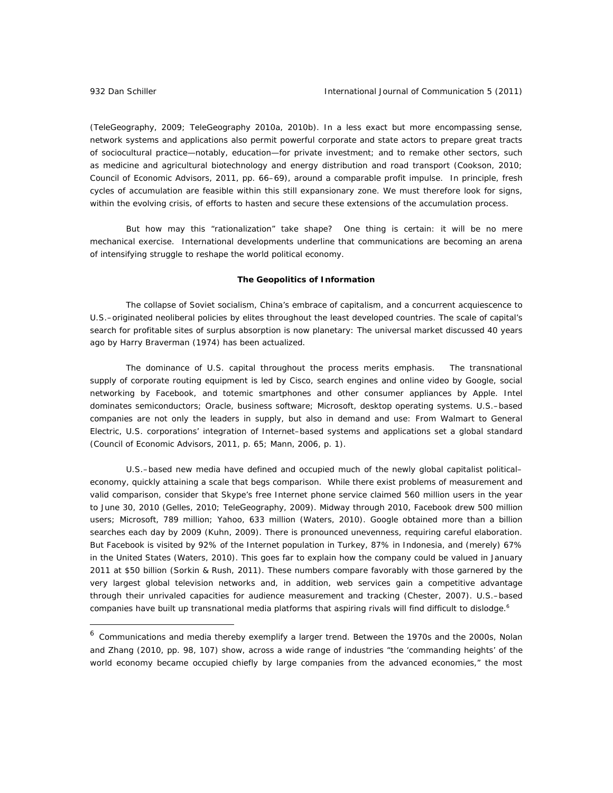(TeleGeography, 2009; TeleGeography 2010a, 2010b). In a less exact but more encompassing sense, network systems and applications also permit powerful corporate and state actors to prepare great tracts of sociocultural practice—notably, education—for private investment; and to remake other sectors, such as medicine and agricultural biotechnology and energy distribution and road transport (Cookson, 2010; Council of Economic Advisors, 2011, pp. 66–69), around a comparable profit impulse. In principle, fresh cycles of accumulation are feasible within this still expansionary zone. We must therefore look for signs, within the evolving crisis, of efforts to hasten and secure these extensions of the accumulation process.

But how may this "rationalization" take shape? One thing is certain: it will be no mere mechanical exercise. International developments underline that communications are becoming an arena of intensifying struggle to reshape the world political economy.

#### **The Geopolitics of Information**

The collapse of Soviet socialism, China's embrace of capitalism, and a concurrent acquiescence to U.S.–originated neoliberal policies by elites throughout the least developed countries. The scale of capital's search for profitable sites of surplus absorption is now planetary: The universal market discussed 40 years ago by Harry Braverman (1974) has been actualized.

The dominance of U.S. capital throughout the process merits emphasis. The transnational supply of corporate routing equipment is led by Cisco, search engines and online video by Google, social networking by Facebook, and totemic smartphones and other consumer appliances by Apple. Intel dominates semiconductors; Oracle, business software; Microsoft, desktop operating systems. U.S.–based companies are not only the leaders in supply, but also in demand and use: From Walmart to General Electric, U.S. corporations' integration of Internet–based systems and applications set a global standard (Council of Economic Advisors, 2011, p. 65; Mann, 2006, p. 1).

U.S.–based new media have defined and occupied much of the newly global capitalist political– economy, quickly attaining a scale that begs comparison. While there exist problems of measurement and valid comparison, consider that Skype's free Internet phone service claimed 560 million users in the year to June 30, 2010 (Gelles, 2010; TeleGeography, 2009). Midway through 2010, Facebook drew 500 million users; Microsoft, 789 million; Yahoo, 633 million (Waters, 2010). Google obtained more than a billion searches each day by 2009 (Kuhn, 2009). There is pronounced unevenness, requiring careful elaboration. But Facebook is visited by 92% of the Internet population in Turkey, 87% in Indonesia, and (merely) 67% in the United States (Waters, 2010). This goes far to explain how the company could be valued in January 2011 at \$50 billion (Sorkin & Rush, 2011). These numbers compare favorably with those garnered by the very largest global television networks and, in addition, web services gain a competitive advantage through their unrivaled capacities for audience measurement and tracking (Chester, 2007). U.S.–based companies have built up transnational media platforms that aspiring rivals will find difficult to dislodge.<sup>6</sup>

<sup>&</sup>lt;sup>6</sup> Communications and media thereby exemplify a larger trend. Between the 1970s and the 2000s, Nolan and Zhang (2010, pp. 98, 107) show, across a wide range of industries "the 'commanding heights' of the world economy became occupied chiefly by large companies from the advanced economies," the most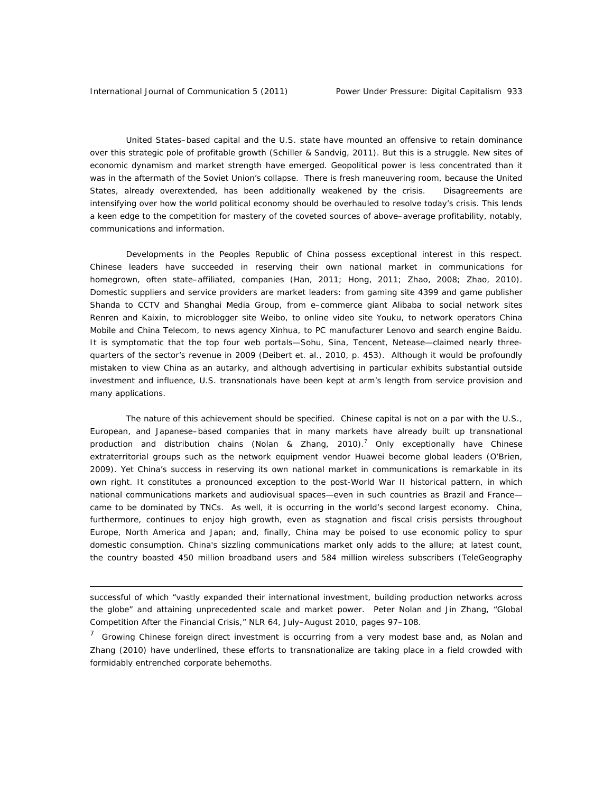United States–based capital and the U.S. state have mounted an offensive to retain dominance over this strategic pole of profitable growth (Schiller & Sandvig, 2011). But this is a struggle. New sites of economic dynamism and market strength have emerged. Geopolitical power is less concentrated than it was in the aftermath of the Soviet Union's collapse. There is fresh maneuvering room, because the United States, already overextended, has been additionally weakened by the crisis. Disagreements are intensifying over how the world political economy should be overhauled to resolve today's crisis. This lends a keen edge to the competition for mastery of the coveted sources of above–average profitability, notably, communications and information.

Developments in the Peoples Republic of China possess exceptional interest in this respect. Chinese leaders have succeeded in reserving their own national market in communications for homegrown, often state–affiliated, companies (Han, 2011; Hong, 2011; Zhao, 2008; Zhao, 2010). Domestic suppliers and service providers are market leaders: from gaming site 4399 and game publisher Shanda to CCTV and Shanghai Media Group, from e–commerce giant Alibaba to social network sites Renren and Kaixin, to microblogger site Weibo, to online video site Youku, to network operators China Mobile and China Telecom, to news agency Xinhua, to PC manufacturer Lenovo and search engine Baidu. It is symptomatic that the top four web portals—Sohu, Sina, Tencent, Netease—claimed nearly threequarters of the sector's revenue in 2009 (Deibert et. al., 2010, p. 453). Although it would be profoundly mistaken to view China as an autarky, and although advertising in particular exhibits substantial outside investment and influence, U.S. transnationals have been kept at arm's length from service provision and many applications.

The nature of this achievement should be specified. Chinese capital is not on a par with the U.S., European, and Japanese–based companies that in many markets have already built up transnational production and distribution chains (Nolan & Zhang, 2010).<sup>7</sup> Only exceptionally have Chinese extraterritorial groups such as the network equipment vendor Huawei become global leaders (O'Brien, 2009). Yet China's success in reserving its own national market in communications is remarkable in its own right. It constitutes a pronounced exception to the post-World War II historical pattern, in which national communications markets and audiovisual spaces—even in such countries as Brazil and France came to be dominated by TNCs. As well, it is occurring in the world's second largest economy. China, furthermore, continues to enjoy high growth, even as stagnation and fiscal crisis persists throughout Europe, North America and Japan; and, finally, China may be poised to use economic policy to spur domestic consumption. China's sizzling communications market only adds to the allure; at latest count, the country boasted 450 million broadband users and 584 million wireless subscribers (TeleGeography

successful of which "vastly expanded their international investment, building production networks across the globe" and attaining unprecedented scale and market power. Peter Nolan and Jin Zhang, "Global Competition After the Financial Crisis," NLR 64, July–August 2010, pages 97–108.

<sup>&</sup>lt;sup>7</sup> Growing Chinese foreign direct investment is occurring from a very modest base and, as Nolan and Zhang (2010) have underlined, these efforts to transnationalize are taking place in a field crowded with formidably entrenched corporate behemoths.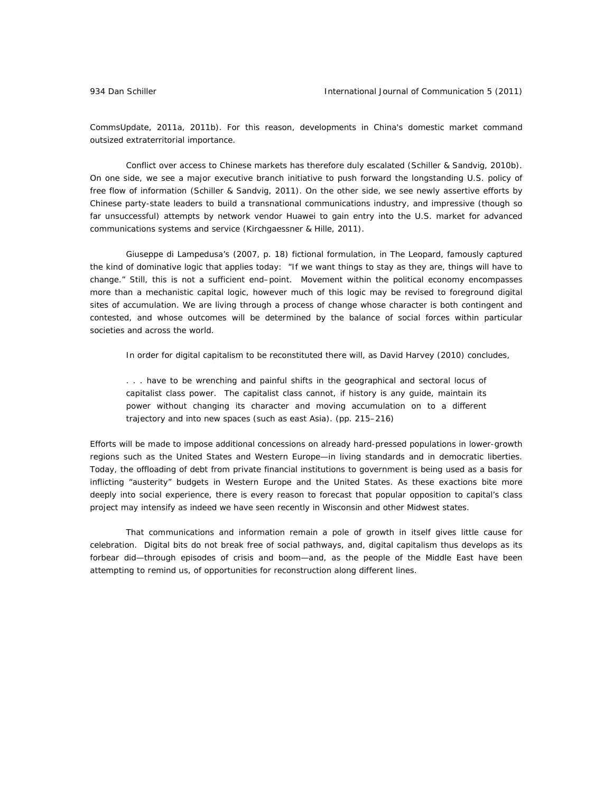CommsUpdate, 2011a, 2011b). For this reason, developments in China's domestic market command outsized extraterritorial importance.

Conflict over access to Chinese markets has therefore duly escalated (Schiller & Sandvig, 2010b). On one side, we see a major executive branch initiative to push forward the longstanding U.S. policy of free flow of information (Schiller & Sandvig, 2011). On the other side, we see newly assertive efforts by Chinese party-state leaders to build a transnational communications industry, and impressive (though so far unsuccessful) attempts by network vendor Huawei to gain entry into the U.S. market for advanced communications systems and service (Kirchgaessner & Hille, 2011).

Giuseppe di Lampedusa's (2007, p. 18) fictional formulation, in *The Leopard*, famously captured the kind of dominative logic that applies today: "If we want things to stay as they are, things will have to change." Still, this is not a sufficient end–point. Movement within the political economy encompasses more than a mechanistic capital logic, however much of this logic may be revised to foreground digital sites of accumulation. We are living through a process of change whose character is both contingent and contested, and whose outcomes will be determined by the balance of social forces within particular societies and across the world.

In order for digital capitalism to be reconstituted there will, as David Harvey (2010) concludes,

. . . have to be wrenching and painful shifts in the geographical and sectoral locus of capitalist class power. The capitalist class cannot, if history is any guide, maintain its power without changing its character and moving accumulation on to a different trajectory and into new spaces (such as east Asia). (pp. 215–216)

Efforts will be made to impose additional concessions on already hard-pressed populations in lower-growth regions such as the United States and Western Europe—in living standards and in democratic liberties. Today, the offloading of debt from private financial institutions to government is being used as a basis for inflicting "austerity" budgets in Western Europe and the United States. As these exactions bite more deeply into social experience, there is every reason to forecast that popular opposition to capital's class project may intensify as indeed we have seen recently in Wisconsin and other Midwest states.

That communications and information remain a pole of growth in itself gives little cause for celebration. Digital bits do not break free of social pathways, and, digital capitalism thus develops as its forbear did—through episodes of crisis and boom—and, as the people of the Middle East have been attempting to remind us, of opportunities for reconstruction along different lines.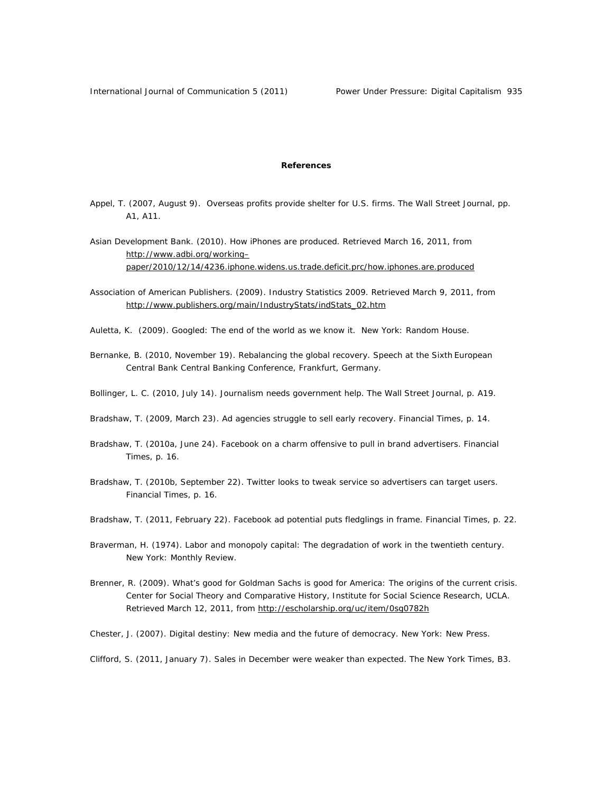# **References**

Appel, T. (2007, August 9). Overseas profits provide shelter for U.S. firms. *The Wall Street Journal,* pp. A1, A11.

Asian Development Bank. (2010). How iPhones are produced. Retrieved March 16, 2011, from http://www.adbi.org/working– paper/2010/12/14/4236.iphone.widens.us.trade.deficit.prc/how.iphones.are.produced

- Association of American Publishers. (2009). *Industry Statistics 2009*. Retrieved March 9, 2011, from http://www.publishers.org/main/IndustryStats/indStats\_02.htm
- Auletta, K. (2009). *Googled: The end of the world as we know it*. New York: Random House.
- Bernanke, B. (2010, November 19). *Rebalancing the global recovery*. Speech at the Sixth European Central Bank Central Banking Conference, Frankfurt, Germany.
- Bollinger, L. C. (2010, July 14). Journalism needs government help. *The Wall Street Journal*, p. A19.
- Bradshaw, T. (2009, March 23). Ad agencies struggle to sell early recovery. *Financial Times*, p. 14.
- Bradshaw, T. (2010a, June 24). Facebook on a charm offensive to pull in brand advertisers. *Financial Times,* p. 16.
- Bradshaw, T. (2010b, September 22). Twitter looks to tweak service so advertisers can target users. *Financial Times*, p. 16.
- Bradshaw, T. (2011, February 22). Facebook ad potential puts fledglings in frame. *Financial Times,* p. 22.
- Braverman, H. (1974). Labor and monopoly capital: The degradation of work in the twentieth century. New York: Monthly Review.
- Brenner, R. (2009). *What's good for Goldman Sachs is good for America: The origins of the current crisis.* Center for Social Theory and Comparative History, Institute for Social Science Research, UCLA. Retrieved March 12, 2011, from http://escholarship.org/uc/item/0sg0782h
- Chester, J. (2007). *Digital destiny: New media and the future of democracy*. New York: New Press.

Clifford, S. (2011, January 7). Sales in December were weaker than expected. *The New York Times,* B3.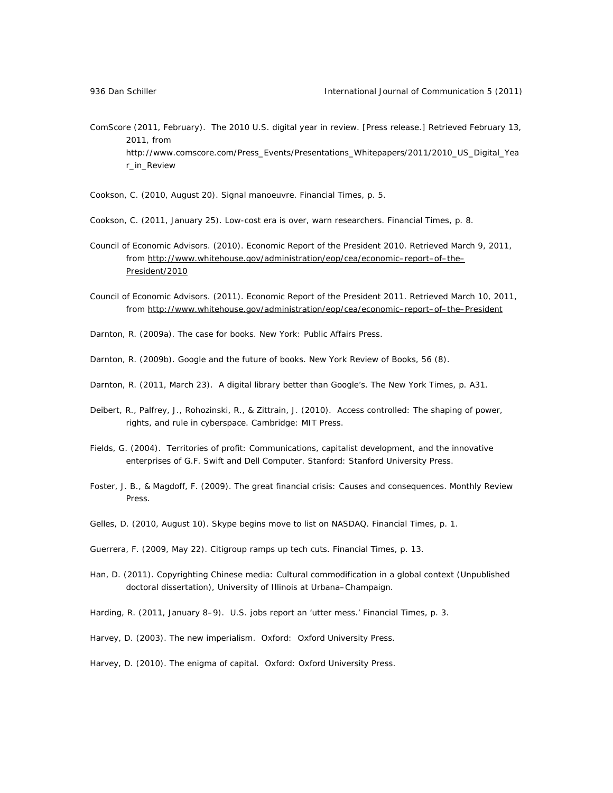ComScore (2011, February). The 2010 U.S. digital year in review. [Press release.] Retrieved February 13, 2011, from http://www.comscore.com/Press\_Events/Presentations\_Whitepapers/2011/2010\_US\_Digital\_Yea r\_in\_Review

Cookson, C. (2010, August 20). Signal manoeuvre. *Financial Times,* p. 5.

Cookson, C. (2011, January 25). Low-cost era is over, warn researchers. *Financial Times,* p. 8.

- Council of Economic Advisors. (2010). *Economic Report of the President 2010*. Retrieved March 9, 2011, from http://www.whitehouse.gov/administration/eop/cea/economic-report-of-the-President/2010
- Council of Economic Advisors. (2011). *Economic Report of the President 2011*. Retrieved March 10, 2011, from http://www.whitehouse.gov/administration/eop/cea/economic–report–of–the–President
- Darnton, R. (2009a). *The case for books*. New York: Public Affairs Press.
- Darnton, R. (2009b). Google and the future of books. *New York Review of Books*, *56* (8).
- Darnton, R. (2011, March 23). A digital library better than Google's. *The New York Times,* p. A31.
- Deibert, R., Palfrey, J., Rohozinski, R., & Zittrain, J. (2010). *Access controlled: The shaping of power, rights, and rule in cyberspace.* Cambridge: MIT Press.
- Fields, G. (2004). *Territories of profit: Communications, capitalist development, and the innovative enterprises of G.F. Swift and Dell Computer*. Stanford: Stanford University Press.
- Foster, J. B., & Magdoff, F. (2009). The great financial crisis: Causes and consequences. *Monthly Review Press*.
- Gelles, D. (2010, August 10). Skype begins move to list on NASDAQ. *Financial Times,* p. 1.
- Guerrera, F. (2009, May 22). Citigroup ramps up tech cuts. *Financial Times,* p. 13.
- Han, D. (2011). *Copyrighting Chinese media: Cultural commodification in a global context* (Unpublished doctoral dissertation), University of Illinois at Urbana–Champaign.
- Harding, R. (2011, January 8–9). U.S. jobs report an 'utter mess.' *Financial Times,* p. 3.
- Harvey, D. (2003). The new *imperialism*. Oxford: Oxford University Press.
- Harvey, D. (2010). *The enigma of capital*. Oxford: Oxford University Press.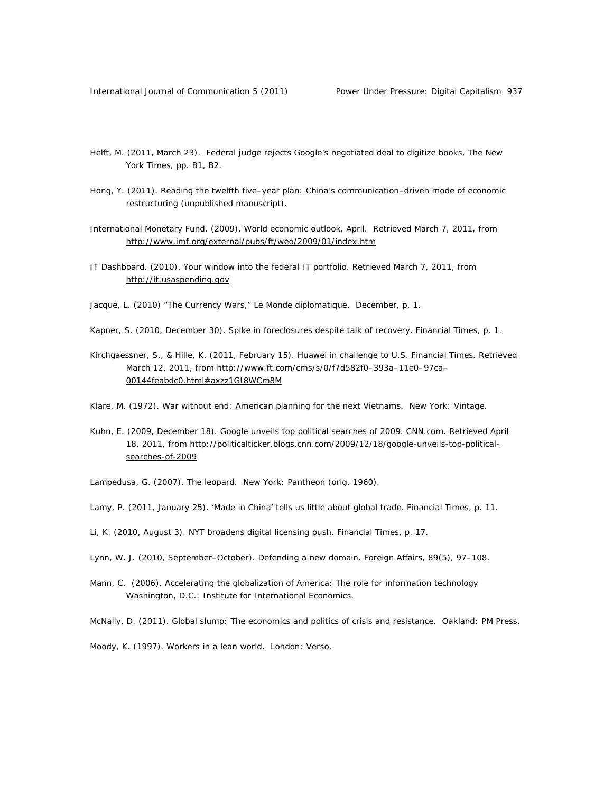- Helft, M. (2011, March 23). Federal judge rejects Google's negotiated deal to digitize books, *The New York Times*, pp. B1, B2.
- Hong, Y. (2011). *Reading the twelfth five–year plan: China's communication–driven mode of economic restructuring (*unpublished manuscript).
- International Monetary Fund. (2009). *World economic outlook, April*. Retrieved March 7, 2011, from http://www.imf.org/external/pubs/ft/weo/2009/01/index.htm
- IT Dashboard. (2010). *Your window into the federal IT portfolio*. Retrieved March 7, 2011, from http://it.usaspending.gov
- Jacque, L. (2010) "The Currency Wars," *Le Monde diplomatique*. December, p. 1.
- Kapner, S. (2010, December 30). Spike in foreclosures despite talk of recovery. *Financial Times,* p. 1.
- Kirchgaessner, S., & Hille, K. (2011, February 15). Huawei in challenge to U.S. *Financial Times.* Retrieved March 12, 2011, from http://www.ft.com/cms/s/0/f7d582f0–393a–11e0–97ca– 00144feabdc0.html#axzz1GI8WCm8M
- Klare, M. (1972). *War without end: American planning for the next Vietnams*. New York: Vintage.
- Kuhn, E. (2009, December 18). Google unveils top political searches of 2009. CNN.com. Retrieved April 18, 2011, from http://politicalticker.blogs.cnn.com/2009/12/18/google-unveils-top-politicalsearches-of-2009

Lampedusa, G. (2007). *The leopard*. New York: Pantheon (orig. 1960).

- Lamy, P. (2011, January 25). 'Made in China' tells us little about global trade. *Financial Times,* p. 11.
- Li, K. (2010, August 3). NYT broadens digital licensing push. *Financial Times,* p. 17.
- Lynn, W. J. (2010, September–October). Defending a new domain. *Foreign Affairs*, *89*(5), 97–108.
- Mann, C. (2006). Accelerating the globalization of America: The role for information technology Washington, D.C.: Institute for International Economics.

McNally, D. (2011). *Global slump: The economics and politics of crisis and resistance*. Oakland: PM Press.

Moody, K. (1997). *Workers in a lean world*. London: Verso.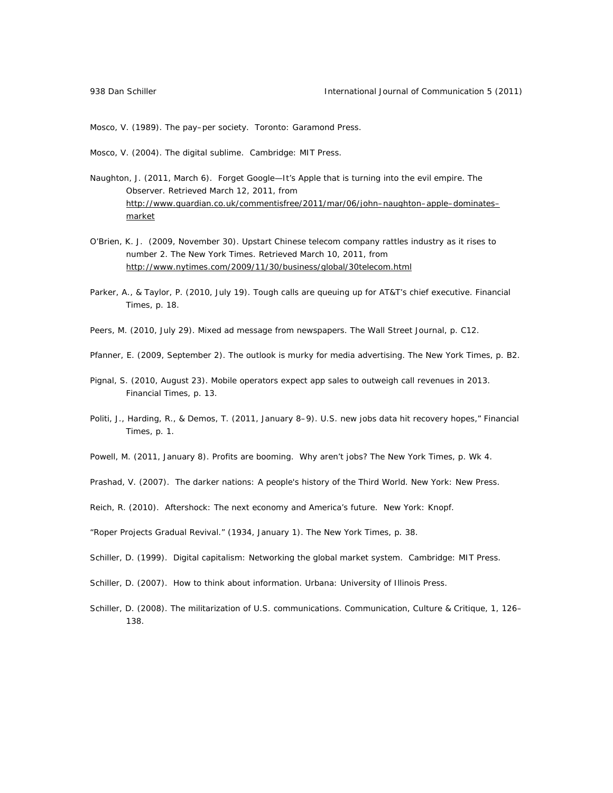Mosco, V. (1989). *The pay–per society*. Toronto: Garamond Press.

Mosco, V. (2004). *The digital sublime*. Cambridge: MIT Press.

- Naughton, J. (2011, March 6). Forget Google—It's Apple that is turning into the evil empire. *The Observer*. Retrieved March 12, 2011, from http://www.guardian.co.uk/commentisfree/2011/mar/06/john–naughton–apple–dominates– market
- O'Brien, K. J. (2009, November 30). Upstart Chinese telecom company rattles industry as it rises to number 2. *The New York Times.* Retrieved March 10, 2011, from http://www.nytimes.com/2009/11/30/business/global/30telecom.html
- Parker, A., & Taylor, P. (2010, July 19). Tough calls are queuing up for AT&T's chief executive. *Financial Times*, p. 18.
- Peers, M. (2010, July 29). Mixed ad message from newspapers. *The Wall Street Journal,* p. C12.
- Pfanner, E. (2009, September 2). The outlook is murky for media advertising. *The New York Times,* p. B2.
- Pignal, S. (2010, August 23). Mobile operators expect app sales to outweigh call revenues in 2013. *Financial Times,* p. 13.
- Politi, J., Harding, R., & Demos, T. (2011, January 8–9). U.S. new jobs data hit recovery hopes," *Financial Times,* p. 1.

Powell, M. (2011, January 8). Profits are booming. Why aren't jobs? *The New York Times*, p. Wk 4.

Prashad, V. (2007). The darker nations: A people's history of the Third World. New York: New Press.

Reich, R. (2010). *Aftershock: The next economy and America's future*. New York: Knopf.

"Roper Projects Gradual Revival." (1934, January 1). *The New York Times*, p. 38.

Schiller, D. (1999). *Digital capitalism: Networking the global market system.* Cambridge: MIT Press.

- Schiller, D. (2007). *How to think about information*. Urbana: University of Illinois Press.
- Schiller, D. (2008). The militarization of U.S. communications. *Communication, Culture & Critique*, *1*, 126– 138.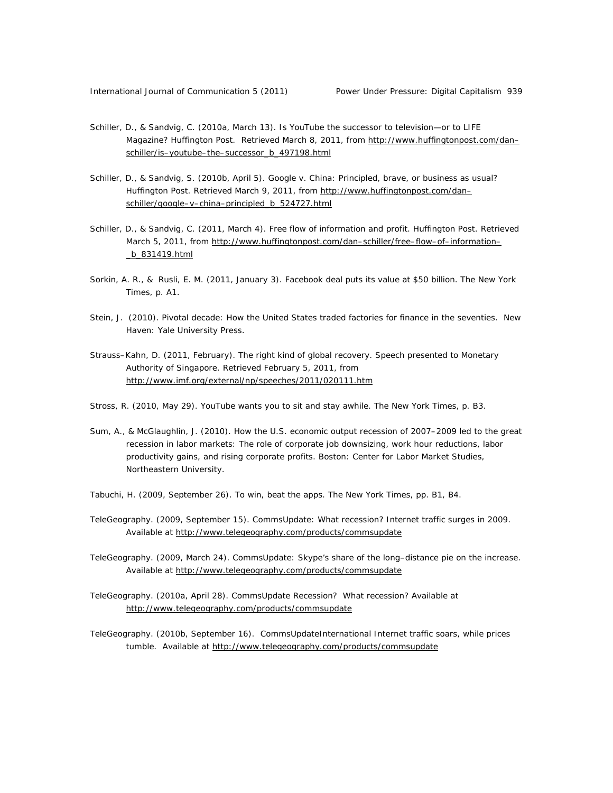- Schiller, D., & Sandvig, C. (2010a, March 13). Is YouTube the successor to television—or to LIFE Magazine? *Huffington Post*. Retrieved March 8, 2011, from http://www.huffingtonpost.com/dan– schiller/is–youtube–the–successor\_b\_497198.html
- Schiller, D., & Sandvig, S. (2010b, April 5). Google v. China: Principled, brave, or business as usual? *Huffington Post*. Retrieved March 9, 2011, from http://www.huffingtonpost.com/dan– schiller/google–v–china–principled\_b\_524727.html
- Schiller, D., & Sandvig, C. (2011, March 4). Free flow of information and profit. *Huffington Post*. Retrieved March 5, 2011, from http://www.huffingtonpost.com/dan-schiller/free-flow-of-information-\_b\_831419.html
- Sorkin, A. R., & Rusli, E. M. (2011, January 3). Facebook deal puts its value at \$50 billion. *The New York Times*, p. A1.
- Stein, J. (2010). *Pivotal decade: How the United States traded factories for finance in the seventies.* New Haven: Yale University Press.
- Strauss–Kahn, D. (2011, February). The right kind of global recovery. Speech presented to Monetary Authority of Singapore. Retrieved February 5, 2011, from http://www.imf.org/external/np/speeches/2011/020111.htm
- Stross, R. (2010, May 29). YouTube wants you to sit and stay awhile. *The New York Times*, p. B3.
- Sum, A., & McGlaughlin, J. (2010). *How the U.S. economic output recession of 2007–2009 led to the great recession in labor markets: The role of corporate job downsizing, work hour reductions, labor productivity gains, and rising corporate profits*. Boston: Center for Labor Market Studies, Northeastern University.
- Tabuchi, H. (2009, September 26). To win, beat the apps. *The New York Times*, pp. B1, B4.
- TeleGeography. (2009, September 15). CommsUpdate: What recession? Internet traffic surges in 2009. Available at http://www.telegeography.com/products/commsupdate
- TeleGeography. (2009, March 24). CommsUpdate: Skype's share of the long–distance pie on the increase. Available at http://www.telegeography.com/products/commsupdate
- TeleGeography. (2010a, April 28). CommsUpdate Recession? What recession? Available at http://www.telegeography.com/products/commsupdate
- TeleGeography. (2010b, September 16). CommsUpdateInternational Internet traffic soars, while prices tumble. Available at http://www.telegeography.com/products/commsupdate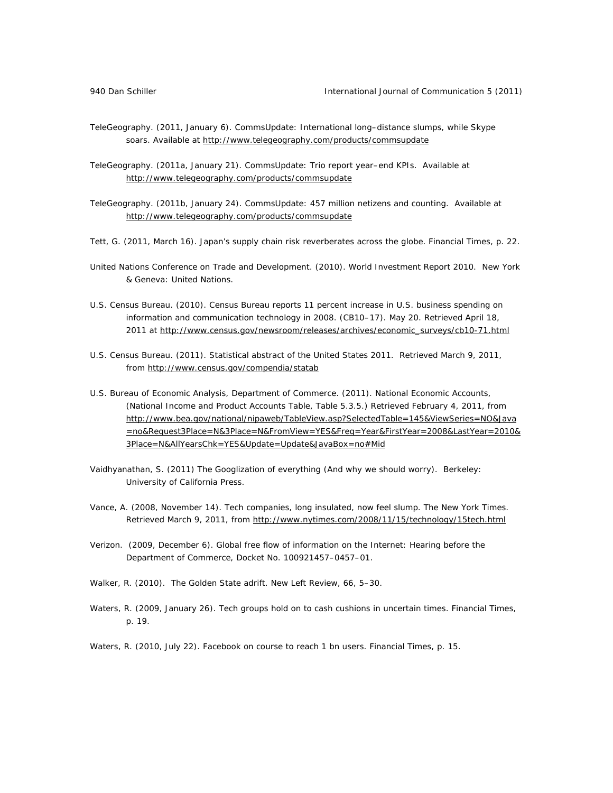- TeleGeography. (2011, January 6). CommsUpdate: International long–distance slumps, while Skype soars. Available at http://www.telegeography.com/products/commsupdate
- TeleGeography. (2011a, January 21). CommsUpdate: Trio report year–end KPIs. Available at http://www.telegeography.com/products/commsupdate
- TeleGeography. (2011b, January 24). CommsUpdate: 457 million netizens and counting. Available at http://www.telegeography.com/products/commsupdate
- Tett, G. (2011, March 16). Japan's supply chain risk reverberates across the globe. *Financial Times*, p. 22.
- United Nations Conference on Trade and Development. (2010). *World Investment Report 2010*. New York & Geneva: United Nations.
- U.S. Census Bureau. (2010). *Census Bureau reports 11 percent increase in U.S. business spending on information and communication technology in 2008*. (CB10–17). May 20. Retrieved April 18, 2011 at http://www.census.gov/newsroom/releases/archives/economic\_surveys/cb10-71.html
- U.S. Census Bureau. (2011). *Statistical abstract of the United States 2011*. Retrieved March 9, 2011, from http://www.census.gov/compendia/statab
- U.S. Bureau of Economic Analysis, Department of Commerce. (2011*). National Economic Accounts*, (National Income and Product Accounts Table, Table 5.3.5.) Retrieved February 4, 2011, from http://www.bea.gov/national/nipaweb/TableView.asp?SelectedTable=145&ViewSeries=NO&Java =no&Request3Place=N&3Place=N&FromView=YES&Freq=Year&FirstYear=2008&LastYear=2010& 3Place=N&AllYearsChk=YES&Update=Update&JavaBox=no#Mid
- Vaidhyanathan, S. (2011) The Googlization of everything (And why we should worry). Berkeley: University of California Press.
- Vance, A. (2008, November 14). Tech companies, long insulated, now feel slump*. The New York Times*. Retrieved March 9, 2011, from http://www.nytimes.com/2008/11/15/technology/15tech.html
- Verizon. (2009, December 6). *Global free flow of information on the Internet: Hearing before the Department of Commerce*, Docket No. 100921457–0457–01.
- Walker, R. (2010). The Golden State adrift. *New Left Review, 66*, 5–30.
- Waters, R. (2009, January 26). Tech groups hold on to cash cushions in uncertain times. *Financial Times,* p. 19.
- Waters, R. (2010, July 22). Facebook on course to reach 1 bn users. *Financial Times*, p. 15.